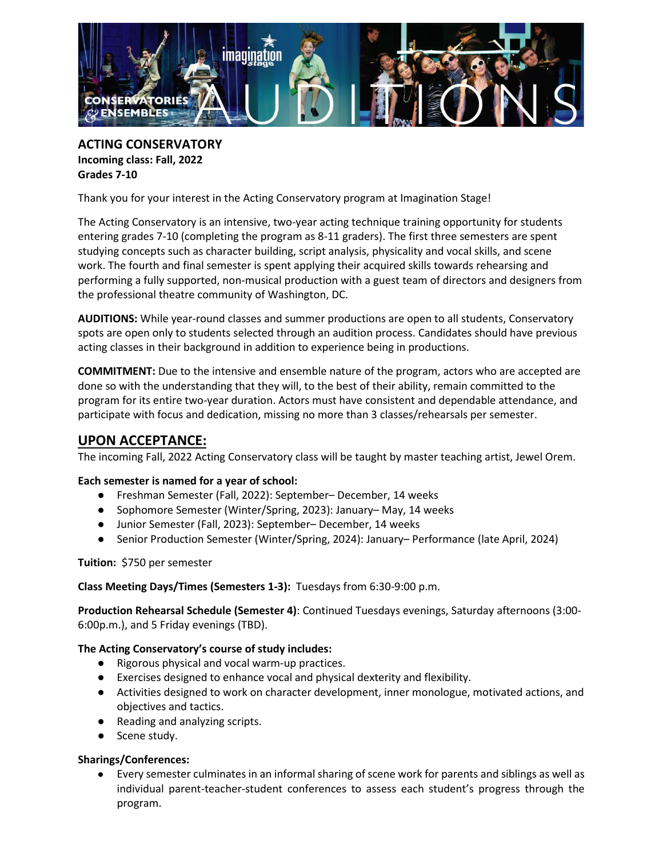

**ACTING CONSERVATORY Incoming class: Fall, 2022 Grades 7-10**

Thank you for your interest in the Acting Conservatory program at Imagination Stage!

The Acting Conservatory is an intensive, two-year acting technique training opportunity for students entering grades 7-10 (completing the program as 8-11 graders). The first three semesters are spent studying concepts such as character building, script analysis, physicality and vocal skills, and scene work. The fourth and final semester is spent applying their acquired skills towards rehearsing and performing a fully supported, non-musical production with a guest team of directors and designers from the professional theatre community of Washington, DC.

**AUDITIONS:** While year-round classes and summer productions are open to all students, Conservatory spots are open only to students selected through an audition process. Candidates should have previous acting classes in their background in addition to experience being in productions.

**COMMITMENT:** Due to the intensive and ensemble nature of the program, actors who are accepted are done so with the understanding that they will, to the best of their ability, remain committed to the program for its entire two-year duration. Actors must have consistent and dependable attendance, and participate with focus and dedication, missing no more than 3 classes/rehearsals per semester.

# **UPON ACCEPTANCE:**

The incoming Fall, 2022 Acting Conservatory class will be taught by master teaching artist, Jewel Orem.

## **Each semester is named for a year of school:**

- Freshman Semester (Fall, 2022): September– December, 14 weeks
- Sophomore Semester (Winter/Spring, 2023): January–May, 14 weeks
- Junior Semester (Fall, 2023): September– December, 14 weeks
- Senior Production Semester (Winter/Spring, 2024): January– Performance (late April, 2024)

**Tuition:** \$750 per semester

#### **Class Meeting Days/Times (Semesters 1-3):** Tuesdays from 6:30-9:00 p.m.

**Production Rehearsal Schedule (Semester 4)**: Continued Tuesdays evenings, Saturday afternoons (3:00- 6:00p.m.), and 5 Friday evenings (TBD).

## **The Acting Conservatory's course of study includes:**

- Rigorous physical and vocal warm-up practices.
- Exercises designed to enhance vocal and physical dexterity and flexibility.
- Activities designed to work on character development, inner monologue, motivated actions, and objectives and tactics.
- Reading and analyzing scripts.
- Scene study.

## **Sharings/Conferences:**

● Every semester culminates in an informal sharing of scene work for parents and siblings as well as individual parent-teacher-student conferences to assess each student's progress through the program.